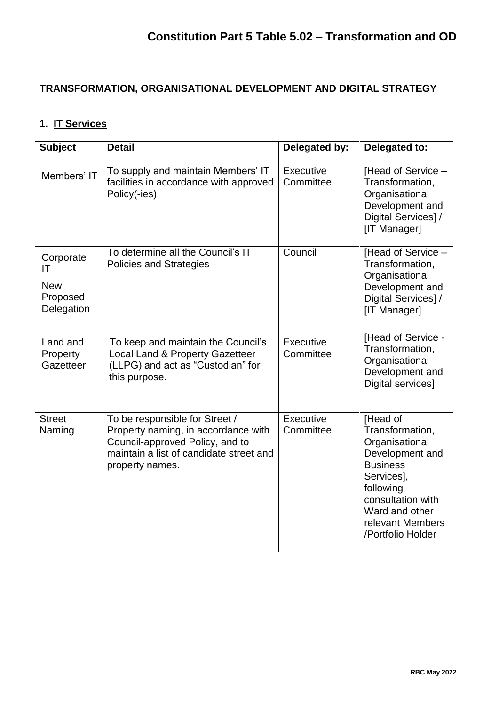## **TRANSFORMATION, ORGANISATIONAL DEVELOPMENT AND DIGITAL STRATEGY 1. IT Services Subject Detail Delegated by: Delegated to:** Members' IT  $\vert$  To supply and maintain Members' IT facilities in accordance with approved Policy(-ies) **Executive Committee** [Head of Service – Transformation, **Organisational** Development and Digital Services] / [IT Manager] **Corporate** IT New Proposed **Delegation** To determine all the Council's IT Policies and Strategies Council | [Head of Service – Transformation, **Organisational** Development and Digital Services1/ [IT Manager] Land and **Property Gazetteer** To keep and maintain the Council's Local Land & Property Gazetteer (LLPG) and act as "Custodian" for this purpose. **Executive Committee IHead of Service -**Transformation, **Organisational** Development and Digital services] **Street** Naming To be responsible for Street / Property naming, in accordance with Council-approved Policy, and to maintain a list of candidate street and property names. **Executive Committee** [Head of Transformation, **Organisational** Development and **Business** Services], following consultation with Ward and other relevant Members /Portfolio Holder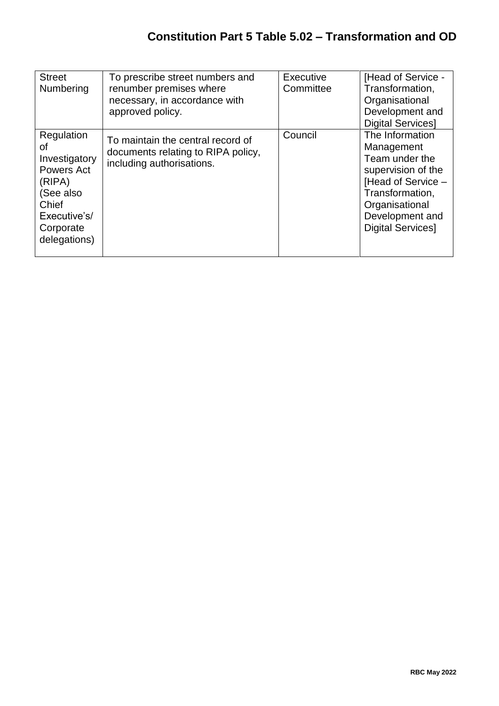| <b>Street</b><br>Numbering                                                                                                   | To prescribe street numbers and<br>renumber premises where<br>necessary, in accordance with<br>approved policy. | Executive<br>Committee | [Head of Service -<br>Transformation,<br>Organisational<br>Development and<br><b>Digital Services]</b>                                                                          |
|------------------------------------------------------------------------------------------------------------------------------|-----------------------------------------------------------------------------------------------------------------|------------------------|---------------------------------------------------------------------------------------------------------------------------------------------------------------------------------|
| Regulation<br>οf<br>Investigatory<br>Powers Act<br>(RIPA)<br>(See also<br>Chief<br>Executive's/<br>Corporate<br>delegations) | To maintain the central record of<br>documents relating to RIPA policy,<br>including authorisations.            | Council                | The Information<br>Management<br>Team under the<br>supervision of the<br>[Head of Service -<br>Transformation,<br>Organisational<br>Development and<br><b>Digital Services]</b> |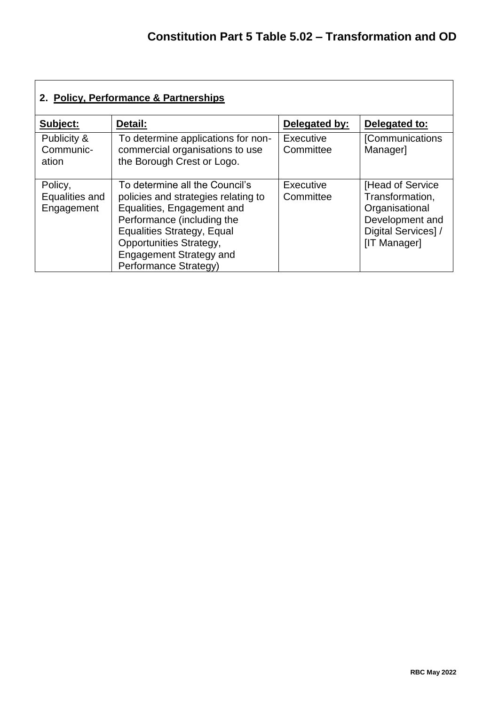| 2. Policy, Performance & Partnerships   |                                                                                                                                                                                                                                                              |                               |                                                                                                                  |  |  |  |
|-----------------------------------------|--------------------------------------------------------------------------------------------------------------------------------------------------------------------------------------------------------------------------------------------------------------|-------------------------------|------------------------------------------------------------------------------------------------------------------|--|--|--|
| Subject:                                | Detail:                                                                                                                                                                                                                                                      | Delegated by:                 | Delegated to:                                                                                                    |  |  |  |
| Publicity &<br>Communic-<br>ation       | To determine applications for non-<br>commercial organisations to use<br>the Borough Crest or Logo.                                                                                                                                                          | <b>Executive</b><br>Committee | <b>[Communications</b><br>Manager]                                                                               |  |  |  |
| Policy,<br>Equalities and<br>Engagement | To determine all the Council's<br>policies and strategies relating to<br>Equalities, Engagement and<br>Performance (including the<br><b>Equalities Strategy, Equal</b><br>Opportunities Strategy,<br><b>Engagement Strategy and</b><br>Performance Strategy) | Executive<br>Committee        | [Head of Service]<br>Transformation,<br>Organisational<br>Development and<br>Digital Services] /<br>[IT Manager] |  |  |  |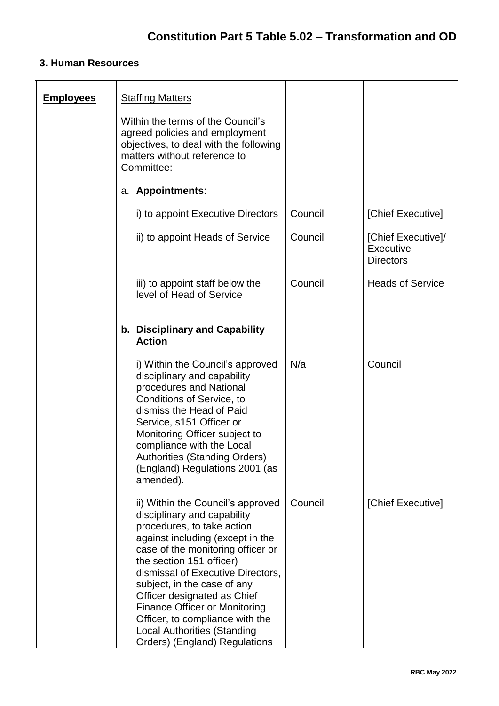| 3. Human Resources |                                                                                                                                                                                                                                                                                                                                                                                                                                                          |         |                                                     |  |  |
|--------------------|----------------------------------------------------------------------------------------------------------------------------------------------------------------------------------------------------------------------------------------------------------------------------------------------------------------------------------------------------------------------------------------------------------------------------------------------------------|---------|-----------------------------------------------------|--|--|
| <b>Employees</b>   | <b>Staffing Matters</b><br>Within the terms of the Council's<br>agreed policies and employment<br>objectives, to deal with the following<br>matters without reference to<br>Committee:                                                                                                                                                                                                                                                                   |         |                                                     |  |  |
|                    | a. Appointments:                                                                                                                                                                                                                                                                                                                                                                                                                                         |         |                                                     |  |  |
|                    | i) to appoint Executive Directors                                                                                                                                                                                                                                                                                                                                                                                                                        | Council | [Chief Executive]                                   |  |  |
|                    | ii) to appoint Heads of Service                                                                                                                                                                                                                                                                                                                                                                                                                          | Council | [Chief Executive]/<br>Executive<br><b>Directors</b> |  |  |
|                    | iii) to appoint staff below the<br>level of Head of Service                                                                                                                                                                                                                                                                                                                                                                                              | Council | <b>Heads of Service</b>                             |  |  |
|                    | b. Disciplinary and Capability<br><b>Action</b>                                                                                                                                                                                                                                                                                                                                                                                                          |         |                                                     |  |  |
|                    | i) Within the Council's approved<br>disciplinary and capability<br>procedures and National<br>Conditions of Service, to<br>dismiss the Head of Paid<br>Service, s151 Officer or<br>Monitoring Officer subject to<br>compliance with the Local<br><b>Authorities (Standing Orders)</b><br>(England) Regulations 2001 (as<br>amended).                                                                                                                     | N/a     | Council                                             |  |  |
|                    | ii) Within the Council's approved<br>disciplinary and capability<br>procedures, to take action<br>against including (except in the<br>case of the monitoring officer or<br>the section 151 officer)<br>dismissal of Executive Directors,<br>subject, in the case of any<br>Officer designated as Chief<br><b>Finance Officer or Monitoring</b><br>Officer, to compliance with the<br><b>Local Authorities (Standing</b><br>Orders) (England) Regulations | Council | [Chief Executive]                                   |  |  |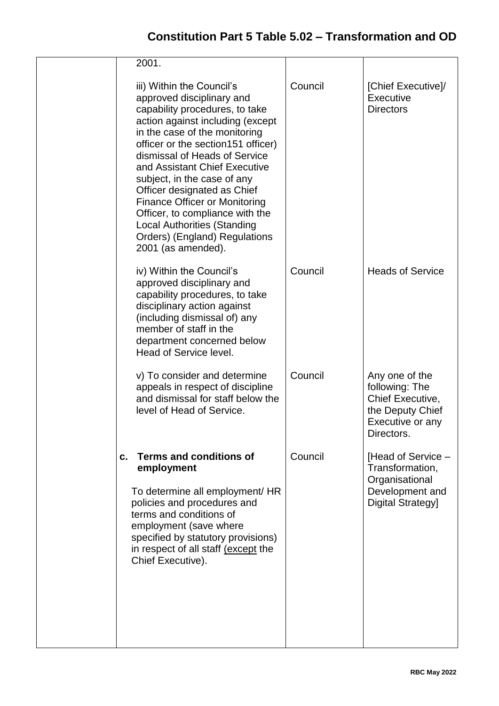| 2001.                                                                                                                                                                                                                                                                                                                                                                                                                                                                                                       |         |                                                                                                            |
|-------------------------------------------------------------------------------------------------------------------------------------------------------------------------------------------------------------------------------------------------------------------------------------------------------------------------------------------------------------------------------------------------------------------------------------------------------------------------------------------------------------|---------|------------------------------------------------------------------------------------------------------------|
| iii) Within the Council's<br>approved disciplinary and<br>capability procedures, to take<br>action against including (except<br>in the case of the monitoring<br>officer or the section151 officer)<br>dismissal of Heads of Service<br>and Assistant Chief Executive<br>subject, in the case of any<br>Officer designated as Chief<br><b>Finance Officer or Monitoring</b><br>Officer, to compliance with the<br><b>Local Authorities (Standing</b><br>Orders) (England) Regulations<br>2001 (as amended). | Council | [Chief Executive]/<br>Executive<br><b>Directors</b>                                                        |
| iv) Within the Council's<br>approved disciplinary and<br>capability procedures, to take<br>disciplinary action against<br>(including dismissal of) any<br>member of staff in the<br>department concerned below<br>Head of Service level.                                                                                                                                                                                                                                                                    | Council | <b>Heads of Service</b>                                                                                    |
| v) To consider and determine<br>appeals in respect of discipline<br>and dismissal for staff below the<br>level of Head of Service.                                                                                                                                                                                                                                                                                                                                                                          | Council | Any one of the<br>following: The<br>Chief Executive,<br>the Deputy Chief<br>Executive or any<br>Directors. |
| <b>Terms and conditions of</b><br>c.<br>employment<br>To determine all employment/ HR<br>policies and procedures and<br>terms and conditions of<br>employment (save where<br>specified by statutory provisions)<br>in respect of all staff (except the<br>Chief Executive).                                                                                                                                                                                                                                 | Council | [Head of Service –<br>Transformation,<br>Organisational<br>Development and<br>Digital Strategy]            |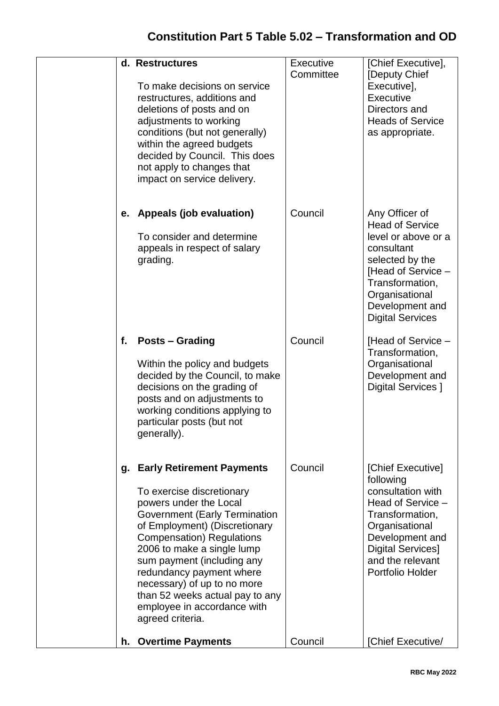|    | d. Restructures<br>To make decisions on service<br>restructures, additions and<br>deletions of posts and on<br>adjustments to working<br>conditions (but not generally)<br>within the agreed budgets<br>decided by Council. This does<br>not apply to changes that<br>impact on service delivery.                                                                                                                  | Executive<br>Committee | [Chief Executive],<br>[Deputy Chief<br>Executive],<br>Executive<br>Directors and<br><b>Heads of Service</b><br>as appropriate.                                                                            |
|----|--------------------------------------------------------------------------------------------------------------------------------------------------------------------------------------------------------------------------------------------------------------------------------------------------------------------------------------------------------------------------------------------------------------------|------------------------|-----------------------------------------------------------------------------------------------------------------------------------------------------------------------------------------------------------|
| е. | Appeals (job evaluation)<br>To consider and determine<br>appeals in respect of salary<br>grading.                                                                                                                                                                                                                                                                                                                  | Council                | Any Officer of<br><b>Head of Service</b><br>level or above or a<br>consultant<br>selected by the<br>[Head of Service -<br>Transformation,<br>Organisational<br>Development and<br><b>Digital Services</b> |
| f. | <b>Posts – Grading</b><br>Within the policy and budgets<br>decided by the Council, to make<br>decisions on the grading of<br>posts and on adjustments to<br>working conditions applying to<br>particular posts (but not<br>generally).                                                                                                                                                                             | Council                | [Head of Service -<br>Transformation,<br>Organisational<br>Development and<br>Digital Services ]                                                                                                          |
| g. | <b>Early Retirement Payments</b><br>To exercise discretionary<br>powers under the Local<br><b>Government (Early Termination</b><br>of Employment) (Discretionary<br><b>Compensation</b> ) Regulations<br>2006 to make a single lump<br>sum payment (including any<br>redundancy payment where<br>necessary) of up to no more<br>than 52 weeks actual pay to any<br>employee in accordance with<br>agreed criteria. | Council                | [Chief Executive]<br>following<br>consultation with<br>Head of Service -<br>Transformation,<br>Organisational<br>Development and<br><b>Digital Services]</b><br>and the relevant<br>Portfolio Holder      |
| h. | <b>Overtime Payments</b>                                                                                                                                                                                                                                                                                                                                                                                           | Council                | [Chief Executive/                                                                                                                                                                                         |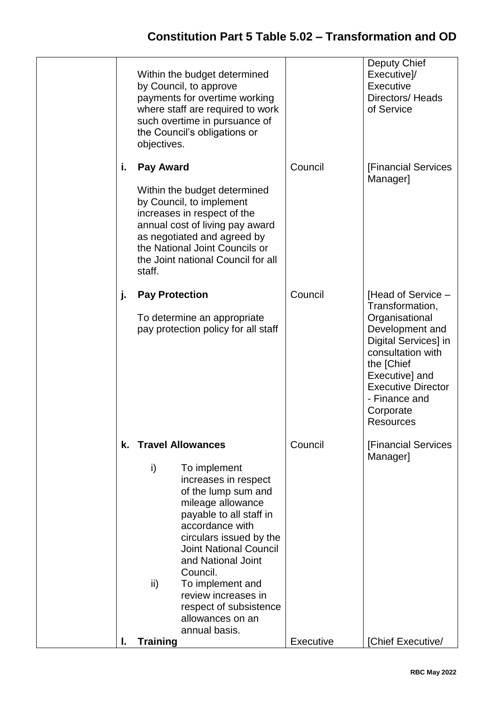## **Constitution Part 5 Table 5.02 – Transformation and OD**

|    | Within the budget determined<br>by Council, to approve<br>payments for overtime working<br>where staff are required to work<br>such overtime in pursuance of<br>the Council's obligations or<br>objectives.                                                                                                                                                                                    |                      | Deputy Chief<br>Executive]/<br>Executive<br>Directors/Heads<br>of Service                                                                                                                                                              |
|----|------------------------------------------------------------------------------------------------------------------------------------------------------------------------------------------------------------------------------------------------------------------------------------------------------------------------------------------------------------------------------------------------|----------------------|----------------------------------------------------------------------------------------------------------------------------------------------------------------------------------------------------------------------------------------|
| i. | Pay Award<br>Within the budget determined<br>by Council, to implement<br>increases in respect of the<br>annual cost of living pay award<br>as negotiated and agreed by<br>the National Joint Councils or<br>the Joint national Council for all<br>staff.                                                                                                                                       | Council              | <b>[Financial Services</b><br>Manager]                                                                                                                                                                                                 |
| j. | <b>Pay Protection</b><br>To determine an appropriate<br>pay protection policy for all staff                                                                                                                                                                                                                                                                                                    | Council              | [Head of Service -<br>Transformation,<br>Organisational<br>Development and<br>Digital Services] in<br>consultation with<br>the [Chief<br>Executive] and<br><b>Executive Director</b><br>- Finance and<br>Corporate<br><b>Resources</b> |
| I. | k. Travel Allowances<br>i)<br>To implement<br>increases in respect<br>of the lump sum and<br>mileage allowance<br>payable to all staff in<br>accordance with<br>circulars issued by the<br><b>Joint National Council</b><br>and National Joint<br>Council.<br>To implement and<br>ii)<br>review increases in<br>respect of subsistence<br>allowances on an<br>annual basis.<br><b>Training</b> | Council<br>Executive | <b>[Financial Services</b><br>Manager]<br>[Chief Executive/                                                                                                                                                                            |
|    |                                                                                                                                                                                                                                                                                                                                                                                                |                      |                                                                                                                                                                                                                                        |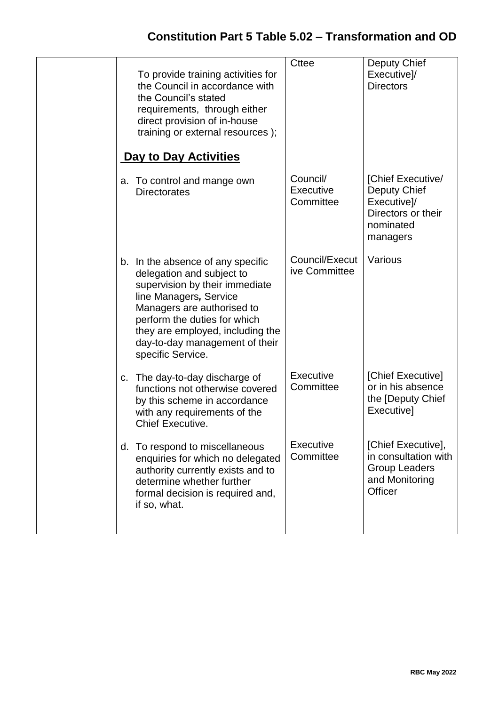|  | To provide training activities for<br>the Council in accordance with<br>the Council's stated<br>requirements, through either<br>direct provision of in-house<br>training or external resources );<br><b>Day to Day Activities</b>                                                   | <b>Cttee</b>                       | Deputy Chief<br>Executive]/<br><b>Directors</b>                                                 |
|--|-------------------------------------------------------------------------------------------------------------------------------------------------------------------------------------------------------------------------------------------------------------------------------------|------------------------------------|-------------------------------------------------------------------------------------------------|
|  | a. To control and mange own<br><b>Directorates</b>                                                                                                                                                                                                                                  | Council/<br>Executive<br>Committee | [Chief Executive/<br>Deputy Chief<br>Executive]/<br>Directors or their<br>nominated<br>managers |
|  | b. In the absence of any specific<br>delegation and subject to<br>supervision by their immediate<br>line Managers, Service<br>Managers are authorised to<br>perform the duties for which<br>they are employed, including the<br>day-to-day management of their<br>specific Service. | Council/Execut<br>ive Committee    | Various                                                                                         |
|  | c. The day-to-day discharge of<br>functions not otherwise covered<br>by this scheme in accordance<br>with any requirements of the<br>Chief Executive.                                                                                                                               | Executive<br>Committee             | [Chief Executive]<br>or in his absence<br>the [Deputy Chief<br>Executive]                       |
|  | d. To respond to miscellaneous<br>enquiries for which no delegated<br>authority currently exists and to<br>determine whether further<br>formal decision is required and,<br>if so, what.                                                                                            | Executive<br>Committee             | [Chief Executive],<br>in consultation with<br><b>Group Leaders</b><br>and Monitoring<br>Officer |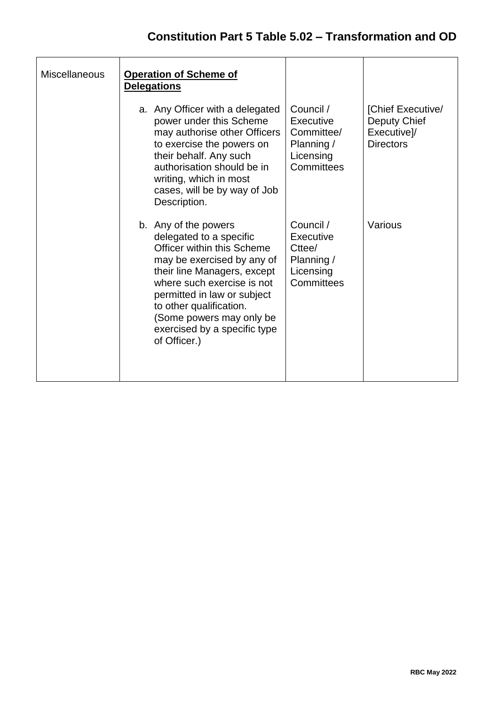| <b>Miscellaneous</b> | <b>Operation of Scheme of</b><br><b>Delegations</b>                                                                                                                                                                                                                                                            |                                                                               |                                                                      |
|----------------------|----------------------------------------------------------------------------------------------------------------------------------------------------------------------------------------------------------------------------------------------------------------------------------------------------------------|-------------------------------------------------------------------------------|----------------------------------------------------------------------|
|                      | a. Any Officer with a delegated<br>power under this Scheme<br>may authorise other Officers<br>to exercise the powers on<br>their behalf. Any such<br>authorisation should be in<br>writing, which in most<br>cases, will be by way of Job<br>Description.                                                      | Council /<br>Executive<br>Committee/<br>Planning /<br>Licensing<br>Committees | [Chief Executive/<br>Deputy Chief<br>Executive]/<br><b>Directors</b> |
|                      | b. Any of the powers<br>delegated to a specific<br>Officer within this Scheme<br>may be exercised by any of<br>their line Managers, except<br>where such exercise is not<br>permitted in law or subject<br>to other qualification.<br>(Some powers may only be<br>exercised by a specific type<br>of Officer.) | Council /<br>Executive<br>Cttee/<br>Planning /<br>Licensing<br>Committees     | Various                                                              |